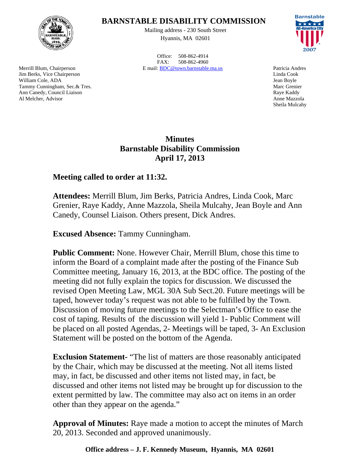

Merrill Blum, Chairperson Jim Berks, Vice Chairperson William Cole, ADA Tammy Cunningham, Sec.& Tres. Ann Canedy, Council Liaison Al Melcher, Advisor

## **BARNSTABLE DISABILITY COMMISSION**

Mailing address - 230 South Street Hyannis, MA 02601

Office: 508-862-4914 FAX: 508-862-4960 E mail: BDC@town.barnstable.ma.us Patricia Andres



Linda Cook Jean Boyle Marc Grenier Raye Kaddy Anne Mazzola Sheila Mulcahy

## **Minutes Barnstable Disability Commission April 17, 2013**

## **Meeting called to order at 11:32.**

**Attendees:** Merrill Blum, Jim Berks, Patricia Andres, Linda Cook, Marc Grenier, Raye Kaddy, Anne Mazzola, Sheila Mulcahy, Jean Boyle and Ann Canedy, Counsel Liaison. Others present, Dick Andres.

**Excused Absence:** Tammy Cunningham.

**Public Comment:** None. However Chair, Merrill Blum, chose this time to inform the Board of a complaint made after the posting of the Finance Sub Committee meeting, January 16, 2013, at the BDC office. The posting of the meeting did not fully explain the topics for discussion. We discussed the revised Open Meeting Law, MGL 30A Sub Sect.20. Future meetings will be taped, however today's request was not able to be fulfilled by the Town. Discussion of moving future meetings to the Selectman's Office to ease the cost of taping. Results of the discussion will yield 1- Public Comment will be placed on all posted Agendas, 2- Meetings will be taped, 3- An Exclusion Statement will be posted on the bottom of the Agenda.

**Exclusion Statement-** "The list of matters are those reasonably anticipated by the Chair, which may be discussed at the meeting. Not all items listed may, in fact, be discussed and other items not listed may, in fact, be discussed and other items not listed may be brought up for discussion to the extent permitted by law. The committee may also act on items in an order other than they appear on the agenda."

**Approval of Minutes:** Raye made a motion to accept the minutes of March 20, 2013. Seconded and approved unanimously.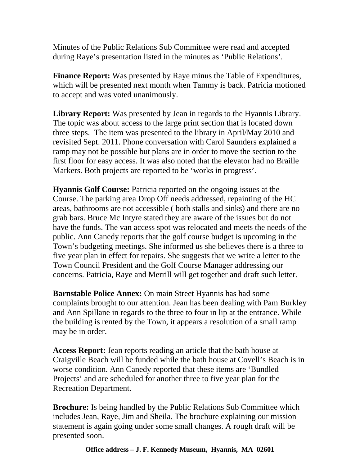Minutes of the Public Relations Sub Committee were read and accepted during Raye's presentation listed in the minutes as 'Public Relations'.

**Finance Report:** Was presented by Raye minus the Table of Expenditures, which will be presented next month when Tammy is back. Patricia motioned to accept and was voted unanimously.

**Library Report:** Was presented by Jean in regards to the Hyannis Library. The topic was about access to the large print section that is located down three steps. The item was presented to the library in April/May 2010 and revisited Sept. 2011. Phone conversation with Carol Saunders explained a ramp may not be possible but plans are in order to move the section to the first floor for easy access. It was also noted that the elevator had no Braille Markers. Both projects are reported to be 'works in progress'.

**Hyannis Golf Course:** Patricia reported on the ongoing issues at the Course. The parking area Drop Off needs addressed, repainting of the HC areas, bathrooms are not accessible ( both stalls and sinks) and there are no grab bars. Bruce Mc Intyre stated they are aware of the issues but do not have the funds. The van access spot was relocated and meets the needs of the public. Ann Canedy reports that the golf course budget is upcoming in the Town's budgeting meetings. She informed us she believes there is a three to five year plan in effect for repairs. She suggests that we write a letter to the Town Council President and the Golf Course Manager addressing our concerns. Patricia, Raye and Merrill will get together and draft such letter.

**Barnstable Police Annex:** On main Street Hyannis has had some complaints brought to our attention. Jean has been dealing with Pam Burkley and Ann Spillane in regards to the three to four in lip at the entrance. While the building is rented by the Town, it appears a resolution of a small ramp may be in order.

**Access Report:** Jean reports reading an article that the bath house at Craigville Beach will be funded while the bath house at Covell's Beach is in worse condition. Ann Canedy reported that these items are 'Bundled Projects' and are scheduled for another three to five year plan for the Recreation Department.

**Brochure:** Is being handled by the Public Relations Sub Committee which includes Jean, Raye, Jim and Sheila. The brochure explaining our mission statement is again going under some small changes. A rough draft will be presented soon.